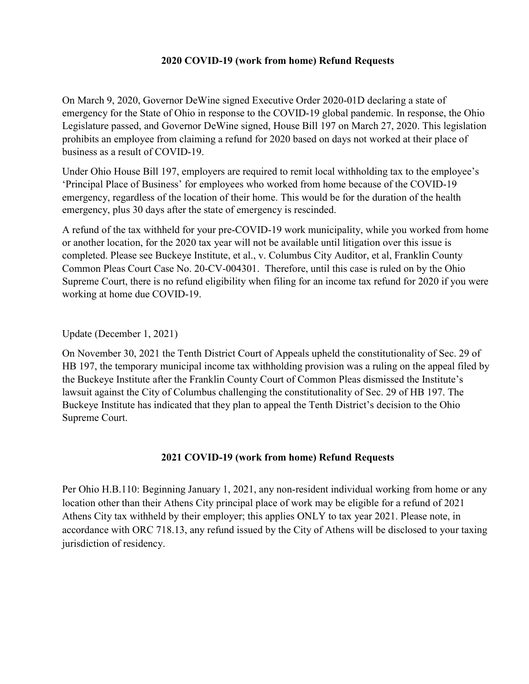### 2020 COVID-19 (work from home) Refund Requests

On March 9, 2020, Governor DeWine signed Executive Order 2020-01D declaring a state of emergency for the State of Ohio in response to the COVID-19 global pandemic. In response, the Ohio Legislature passed, and Governor DeWine signed, House Bill 197 on March 27, 2020. This legislation prohibits an employee from claiming a refund for 2020 based on days not worked at their place of business as a result of COVID-19.

Under Ohio House Bill 197, employers are required to remit local withholding tax to the employee's 'Principal Place of Business' for employees who worked from home because of the COVID-19 emergency, regardless of the location of their home. This would be for the duration of the health emergency, plus 30 days after the state of emergency is rescinded.

A refund of the tax withheld for your pre-COVID-19 work municipality, while you worked from home or another location, for the 2020 tax year will not be available until litigation over this issue is completed. Please see Buckeye Institute, et al., v. Columbus City Auditor, et al, Franklin County Common Pleas Court Case No. 20-CV-004301. Therefore, until this case is ruled on by the Ohio Supreme Court, there is no refund eligibility when filing for an income tax refund for 2020 if you were working at home due COVID-19.

Update (December 1, 2021)

On November 30, 2021 the Tenth District Court of Appeals upheld the constitutionality of Sec. 29 of HB 197, the temporary municipal income tax withholding provision was a ruling on the appeal filed by the Buckeye Institute after the Franklin County Court of Common Pleas dismissed the Institute's lawsuit against the City of Columbus challenging the constitutionality of Sec. 29 of HB 197. The Buckeye Institute has indicated that they plan to appeal the Tenth District's decision to the Ohio Supreme Court.

## 2021 COVID-19 (work from home) Refund Requests

Per Ohio H.B.110: Beginning January 1, 2021, any non-resident individual working from home or any location other than their Athens City principal place of work may be eligible for a refund of 2021 Athens City tax withheld by their employer; this applies ONLY to tax year 2021. Please note, in accordance with ORC 718.13, any refund issued by the City of Athens will be disclosed to your taxing jurisdiction of residency.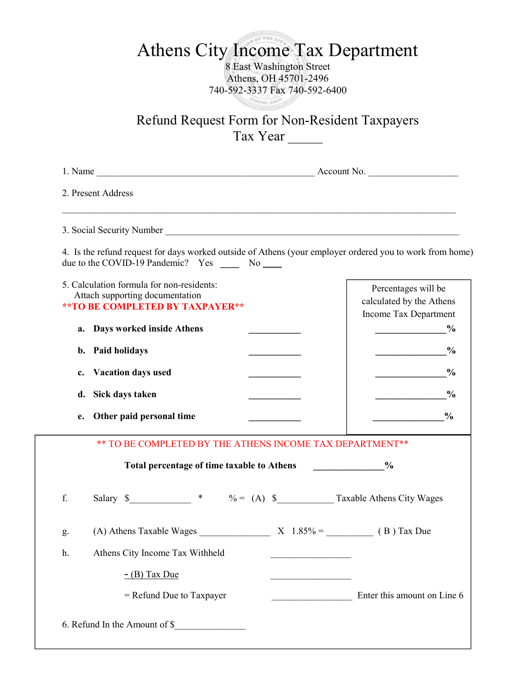# Athens City Income Tax Department

8 East Washington Street Athens, OH 45701-2496 740-592-3337 Fax 740-592-6400 **ATHENS ON** 

Refund Request Form for Non-Resident Taxpayers Tax Year \_\_\_\_\_

| 2. Present Address                                                                                               |                                                                                                          |               |  |
|------------------------------------------------------------------------------------------------------------------|----------------------------------------------------------------------------------------------------------|---------------|--|
|                                                                                                                  |                                                                                                          |               |  |
| due to the COVID-19 Pandemic? Yes _______ No _____                                                               | 4. Is the refund request for days worked outside of Athens (your employer ordered you to work from home) |               |  |
| 5. Calculation formula for non-residents:<br>Attach supporting documentation<br>** TO BE COMPLETED BY TAXPAYER** | Percentages will be<br>calculated by the Athens<br>Income Tax Department                                 |               |  |
| <b>Days worked inside Athens</b><br>a.<br>b. Paid holidays                                                       | $\frac{0}{0}$                                                                                            | $\frac{0}{0}$ |  |
| <b>Vacation days used</b><br>c.                                                                                  |                                                                                                          | $\frac{0}{0}$ |  |
| d. Sick days taken                                                                                               |                                                                                                          | $\frac{0}{0}$ |  |
| Other paid personal time<br>е.                                                                                   |                                                                                                          | $\frac{6}{6}$ |  |
|                                                                                                                  | ** TO BE COMPLETED BY THE ATHENS INCOME TAX DEPARTMENT**                                                 |               |  |
| Total percentage of time taxable to Athens                                                                       | $\frac{0}{0}$                                                                                            |               |  |
| f.                                                                                                               | Salary $\frac{1}{2}$ * $\frac{1}{2}$ * $\frac{1}{2}$ (A) $\frac{1}{2}$ Taxable Athens City Wages         |               |  |
| (A) Athens Taxable Wages<br>g.                                                                                   | $X \quad 1.85\% =$<br>(B) Tax Due                                                                        |               |  |
| Athens City Income Tax Withheld<br>h.                                                                            |                                                                                                          |               |  |
| $-$ (B) Tax Due                                                                                                  |                                                                                                          |               |  |
| $=$ Refund Due to Taxpayer                                                                                       | Enter this amount on Line 6                                                                              |               |  |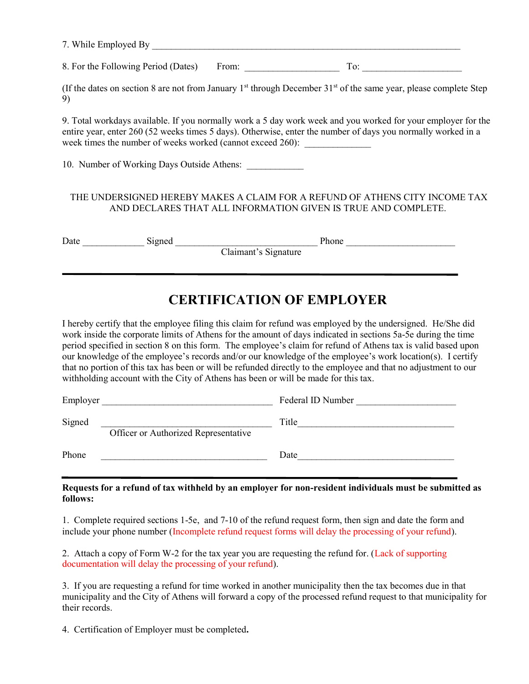| $-1$<br>and the contract of the contract of the contract of<br>$\cdots$<br>$\mathbf{M}$<br>יי |  |
|-----------------------------------------------------------------------------------------------|--|
|                                                                                               |  |

8. For the Following Period (Dates) From: \_\_\_\_\_\_\_\_\_\_\_\_\_\_\_\_\_\_\_\_ To: \_\_\_\_\_\_\_\_\_\_\_\_\_\_\_\_\_\_\_\_\_

(If the dates on section 8 are not from January 1<sup>st</sup> through December  $31<sup>st</sup>$  of the same year, please complete Step 9)

9. Total workdays available. If you normally work a 5 day work week and you worked for your employer for the entire year, enter 260 (52 weeks times 5 days). Otherwise, enter the number of days you normally worked in a week times the number of weeks worked (cannot exceed 260):

10. Number of Working Days Outside Athens:

#### THE UNDERSIGNED HEREBY MAKES A CLAIM FOR A REFUND OF ATHENS CITY INCOME TAX AND DECLARES THAT ALL INFORMATION GIVEN IS TRUE AND COMPLETE.

Date Signed Signed Phone

ī

Claimant's Signature

# CERTIFICATION OF EMPLOYER

I hereby certify that the employee filing this claim for refund was employed by the undersigned. He/She did work inside the corporate limits of Athens for the amount of days indicated in sections 5a-5e during the time period specified in section 8 on this form. The employee's claim for refund of Athens tax is valid based upon our knowledge of the employee's records and/or our knowledge of the employee's work location(s). I certify that no portion of this tax has been or will be refunded directly to the employee and that no adjustment to our withholding account with the City of Athens has been or will be made for this tax.

| Employer |                                      | Federal ID Number |
|----------|--------------------------------------|-------------------|
| Signed   | Officer or Authorized Representative | Title             |
| Phone    |                                      | Date              |

Requests for a refund of tax withheld by an employer for non-resident individuals must be submitted as follows:

1. Complete required sections 1-5e, and 7-10 of the refund request form, then sign and date the form and include your phone number (Incomplete refund request forms will delay the processing of your refund).

2. Attach a copy of Form W-2 for the tax year you are requesting the refund for. (Lack of supporting documentation will delay the processing of your refund).

3. If you are requesting a refund for time worked in another municipality then the tax becomes due in that municipality and the City of Athens will forward a copy of the processed refund request to that municipality for their records.

4. Certification of Employer must be completed.